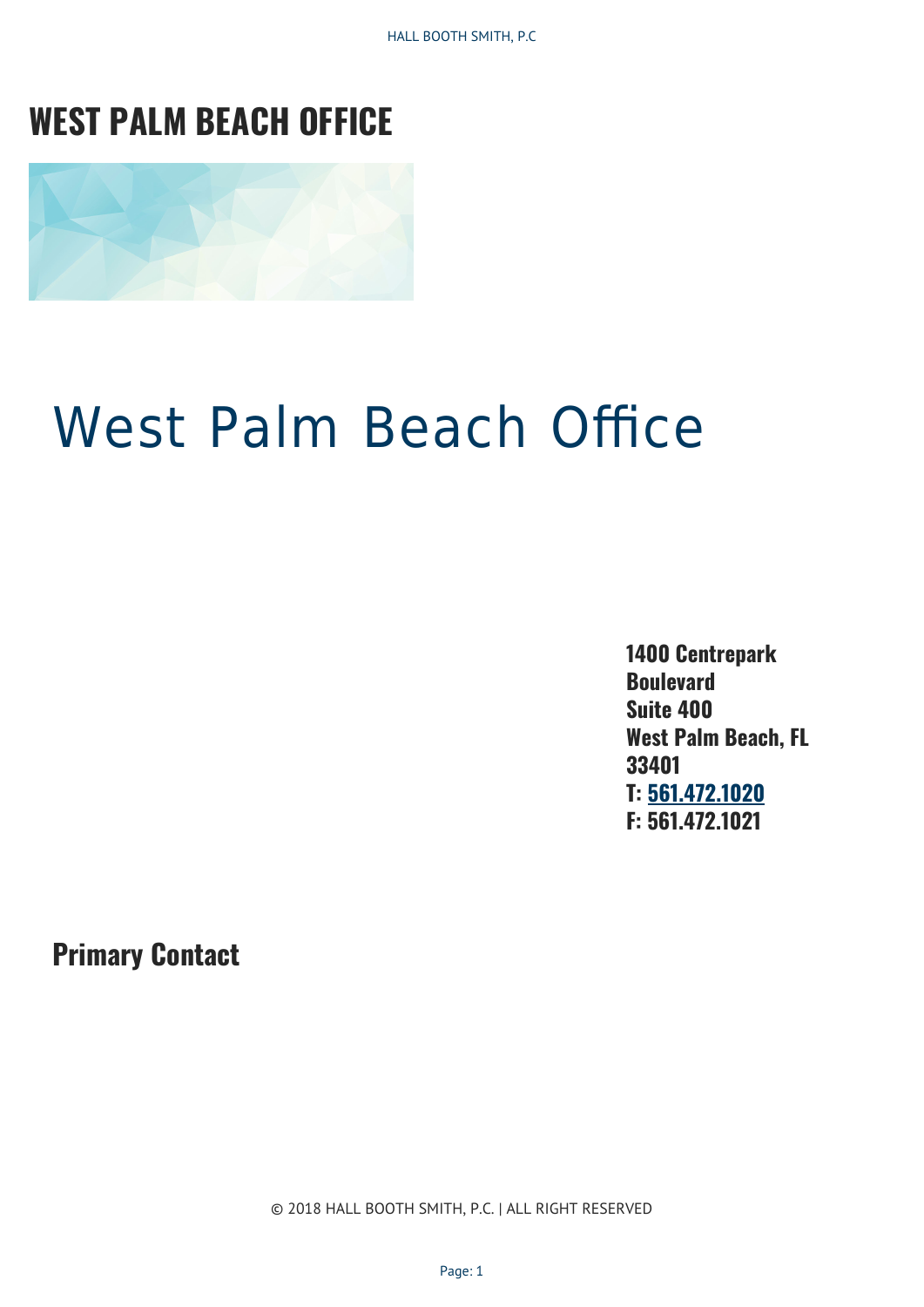HALL BOOTH SMITH, P.C

# **WEST PALM BEACH OFFICE**



# West Palm Beach Office

**1400 Centrepark Boulevard Suite 400 West Palm Beach, FL 33401 T: [561.472.1020](Tel:561.472.1020) F: 561.472.1021**

**Primary Contact**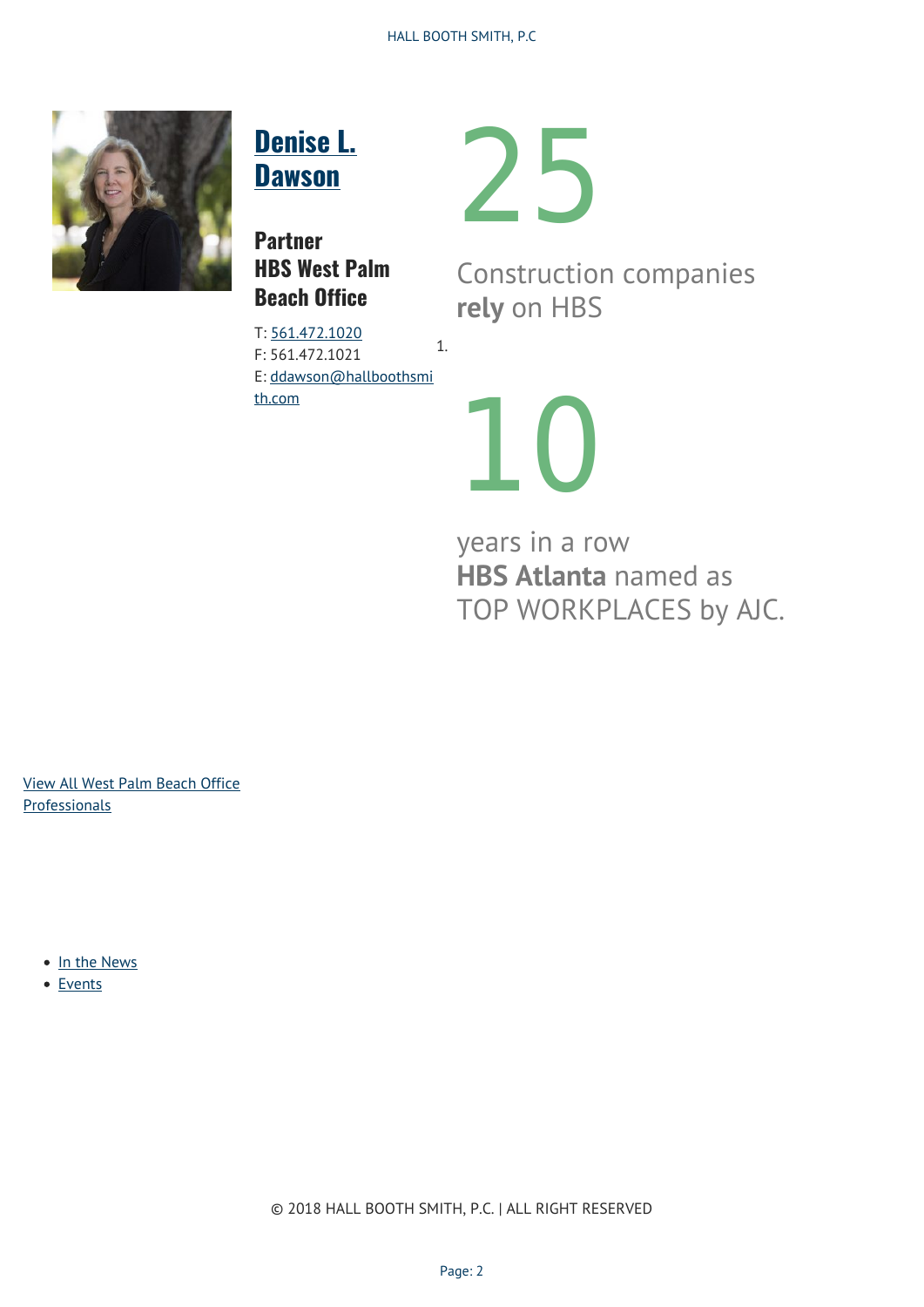

# **[Denise L.](http://hallboothsmith.com/attorney/denise-l-dawson/) [Dawson](http://hallboothsmith.com/attorney/denise-l-dawson/)**

**Partner HBS West Palm Beach Office**

T: [561.472.1020](Tel:561.472.1020) F: 561.472.1021 E: [ddawson@hallboothsmi](mailto:ddawson@hallboothsmith.com) [th.com](mailto:ddawson@hallboothsmith.com) 1.

Construction companies **rely** on HBS



25

years in a row **HBS Atlanta** named as TOP WORKPLACES by AJC.

[View All West Palm Beach Office](https://hallboothsmith.com/attorneys/office-id-226/) **[Professionals](https://hallboothsmith.com/attorneys/office-id-226/)** 

- [In the News](#page--1-0)
- [Events](#page--1-0)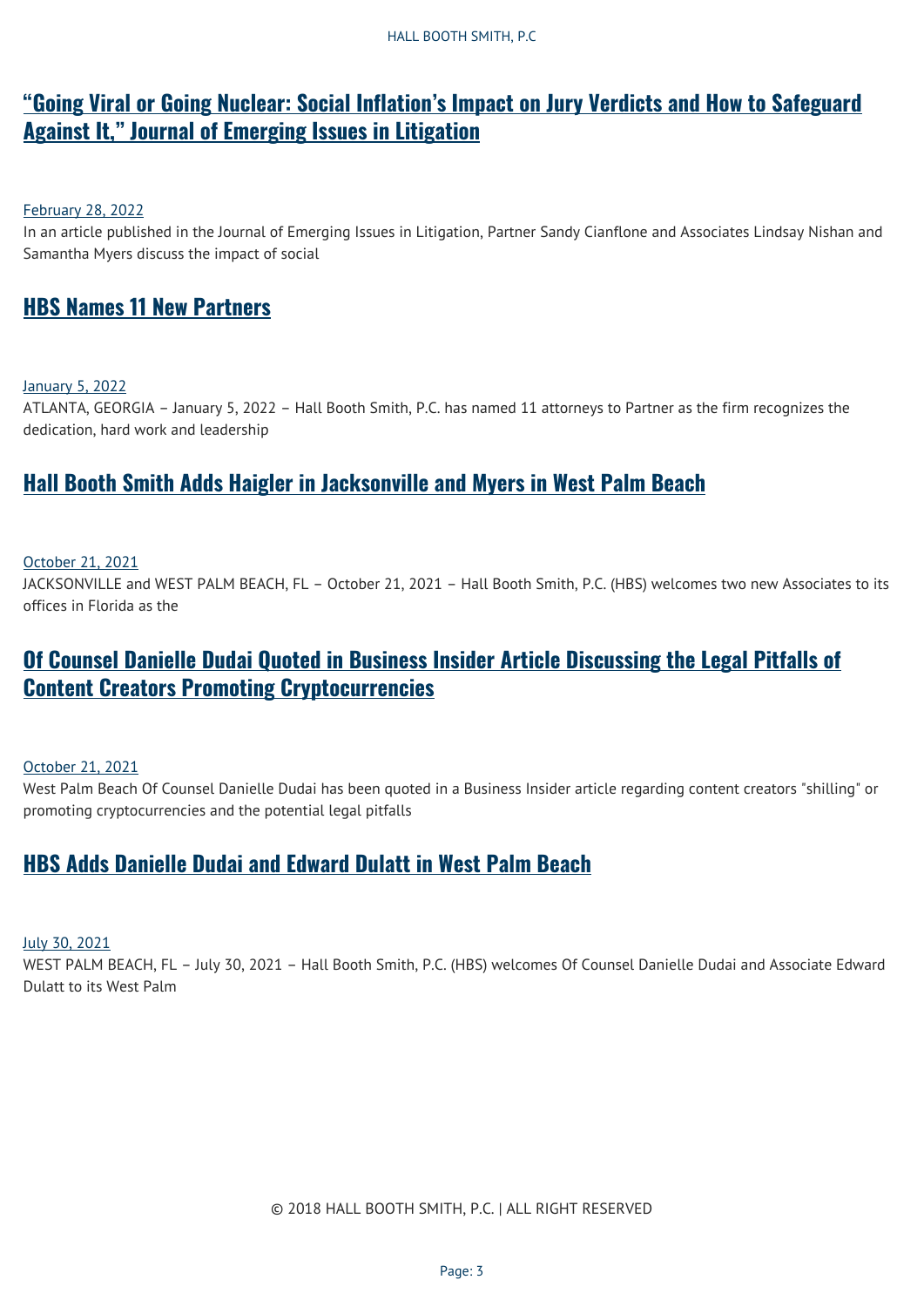# **["Going Viral or Going Nuclear: Social Inflation's Impact on Jury Verdicts and How to Safeguard](https://hallboothsmith.com/going-viral-or-going-nuclear-social-inflations-impact-on-jury-verdicts-and-how-to-safeguard-against-it-journal-of-emerging-issues-in-litigation/) [Against It," Journal of Emerging Issues in Litigation](https://hallboothsmith.com/going-viral-or-going-nuclear-social-inflations-impact-on-jury-verdicts-and-how-to-safeguard-against-it-journal-of-emerging-issues-in-litigation/)**

#### [February 28, 2022](https://hallboothsmith.com/2022/02/)

In an article published in the Journal of Emerging Issues in Litigation, Partner Sandy Cianflone and Associates Lindsay Nishan and Samantha Myers discuss the impact of social

### **[HBS Names 11 New Partners](https://hallboothsmith.com/hbs-names-11-new-partners/)**

[January 5, 2022](https://hallboothsmith.com/2022/01/)

ATLANTA, GEORGIA – January 5, 2022 – Hall Booth Smith, P.C. has named 11 attorneys to Partner as the firm recognizes the dedication, hard work and leadership

### **[Hall Booth Smith Adds Haigler in Jacksonville and Myers in West Palm Beach](https://hallboothsmith.com/hall-booth-smith-adds-haigler-in-jacksonville-and-myers-in-west-palm-beach/)**

#### [October 21, 2021](https://hallboothsmith.com/2021/10/)

JACKSONVILLE and WEST PALM BEACH, FL – October 21, 2021 – Hall Booth Smith, P.C. (HBS) welcomes two new Associates to its offices in Florida as the

## **[Of Counsel Danielle Dudai Quoted in Business Insider Article Discussing the Legal Pitfalls of](https://hallboothsmith.com/of-counsel-danielle-dudai-quoted-in-business-insider-article-discussing-the-legal-pitfalls-of-content-creators-promoting-cryptocurrencies/) [Content Creators Promoting Cryptocurrencies](https://hallboothsmith.com/of-counsel-danielle-dudai-quoted-in-business-insider-article-discussing-the-legal-pitfalls-of-content-creators-promoting-cryptocurrencies/)**

[October 21, 2021](https://hallboothsmith.com/2021/10/)

West Palm Beach Of Counsel Danielle Dudai has been quoted in a Business Insider article regarding content creators "shilling" or promoting cryptocurrencies and the potential legal pitfalls

## **[HBS Adds Danielle Dudai and Edward Dulatt in West Palm Beach](https://hallboothsmith.com/hbs-adds-danielle-dudai-and-edward-dulatt-in-west-palm-beach/)**

[July 30, 2021](https://hallboothsmith.com/2021/07/)

WEST PALM BEACH, FL – July 30, 2021 – Hall Booth Smith, P.C. (HBS) welcomes Of Counsel Danielle Dudai and Associate Edward Dulatt to its West Palm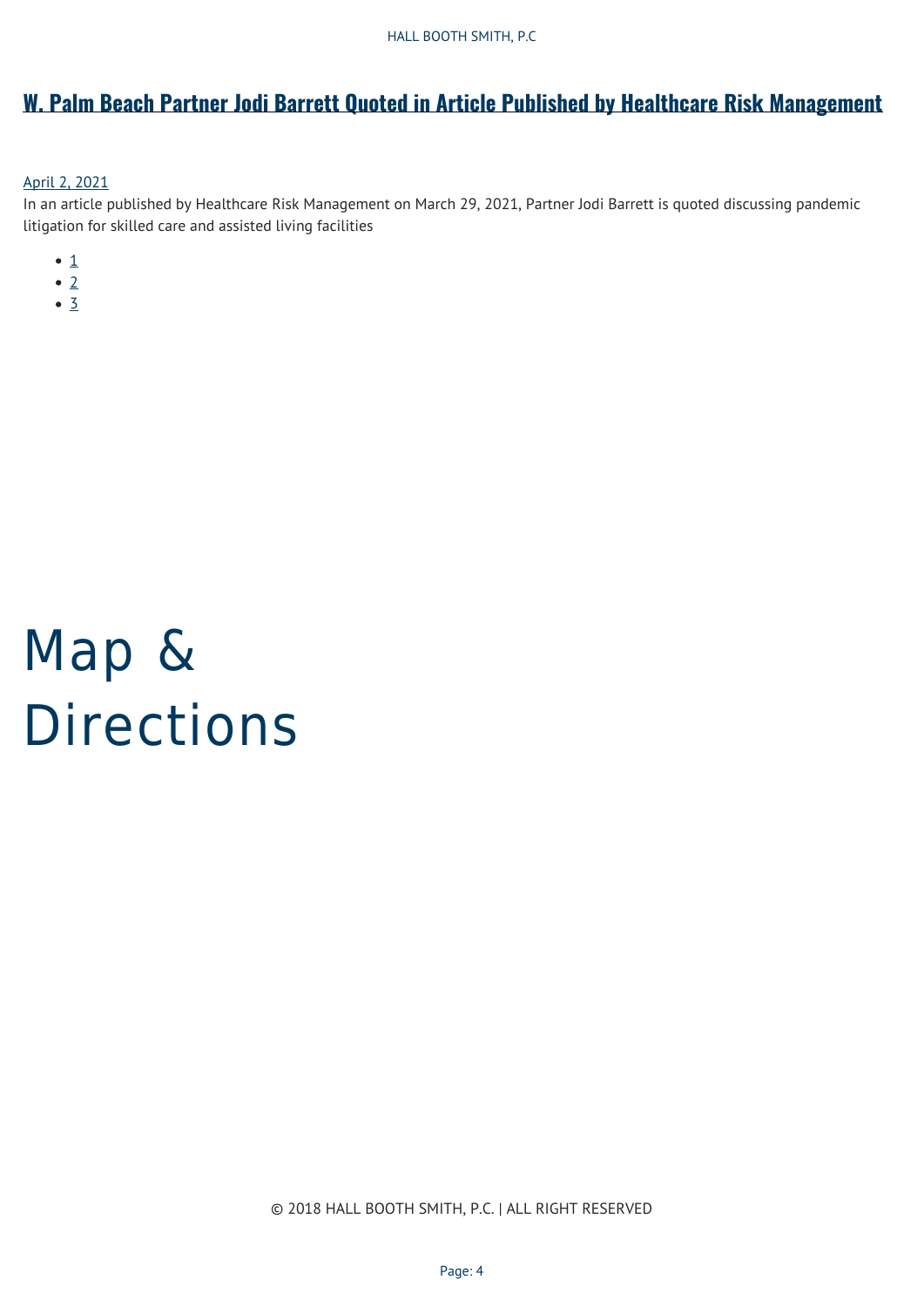# **[W. Palm Beach Partner Jodi Barrett Quoted in Article Published by Healthcare Risk Management](https://hallboothsmith.com/w-palm-beach-partner-jodi-barrett-quoted-in-article-published-by-healthcare-risk-management/)**

#### [April 2, 2021](https://hallboothsmith.com/2021/04/)

In an article published by Healthcare Risk Management on March 29, 2021, Partner Jodi Barrett is quoted discussing pandemic litigation for skilled care and assisted living facilities

- $\bullet$  [1](#page--1-0)
- $\bullet$  [2](#page--1-0)
- $\bullet$  [3](#page--1-0)

# Map & Directions